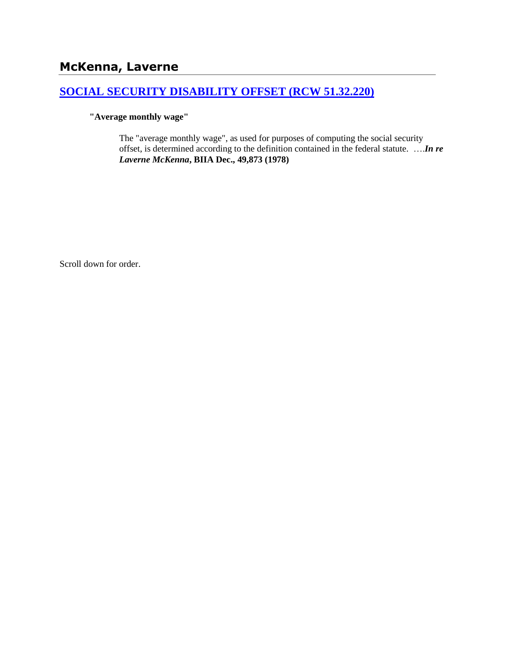# **McKenna, Laverne**

## **[SOCIAL SECURITY DISABILITY OFFSET \(RCW 51.32.220\)](http://www.biia.wa.gov/SDSubjectIndex.html#SOCIAL_SECURITY_DISABILITY_OFFSET)**

### **"Average monthly wage"**

The "average monthly wage", as used for purposes of computing the social security offset, is determined according to the definition contained in the federal statute. ….*In re Laverne McKenna***, BIIA Dec., 49,873 (1978)**

Scroll down for order.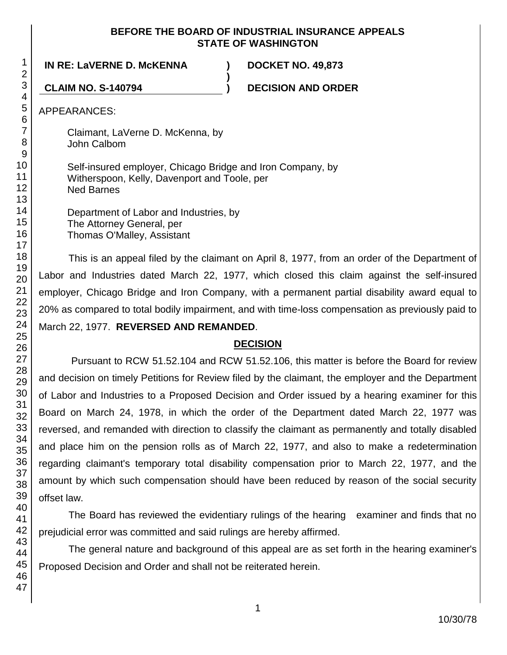### **BEFORE THE BOARD OF INDUSTRIAL INSURANCE APPEALS STATE OF WASHINGTON**

**)**

**IN RE: LaVERNE D. McKENNA ) DOCKET NO. 49,873**

**CLAIM NO. S-140794 ) DECISION AND ORDER**

APPEARANCES:

Claimant, LaVerne D. McKenna, by John Calbom

Self-insured employer, Chicago Bridge and Iron Company, by Witherspoon, Kelly, Davenport and Toole, per Ned Barnes

Department of Labor and Industries, by The Attorney General, per Thomas O'Malley, Assistant

This is an appeal filed by the claimant on April 8, 1977, from an order of the Department of Labor and Industries dated March 22, 1977, which closed this claim against the self-insured employer, Chicago Bridge and Iron Company, with a permanent partial disability award equal to 20% as compared to total bodily impairment, and with time-loss compensation as previously paid to March 22, 1977. **REVERSED AND REMANDED**.

## **DECISION**

Pursuant to RCW 51.52.104 and RCW 51.52.106, this matter is before the Board for review and decision on timely Petitions for Review filed by the claimant, the employer and the Department of Labor and Industries to a Proposed Decision and Order issued by a hearing examiner for this Board on March 24, 1978, in which the order of the Department dated March 22, 1977 was reversed, and remanded with direction to classify the claimant as permanently and totally disabled and place him on the pension rolls as of March 22, 1977, and also to make a redetermination regarding claimant's temporary total disability compensation prior to March 22, 1977, and the amount by which such compensation should have been reduced by reason of the social security offset law.

The Board has reviewed the evidentiary rulings of the hearing examiner and finds that no prejudicial error was committed and said rulings are hereby affirmed.

The general nature and background of this appeal are as set forth in the hearing examiner's Proposed Decision and Order and shall not be reiterated herein.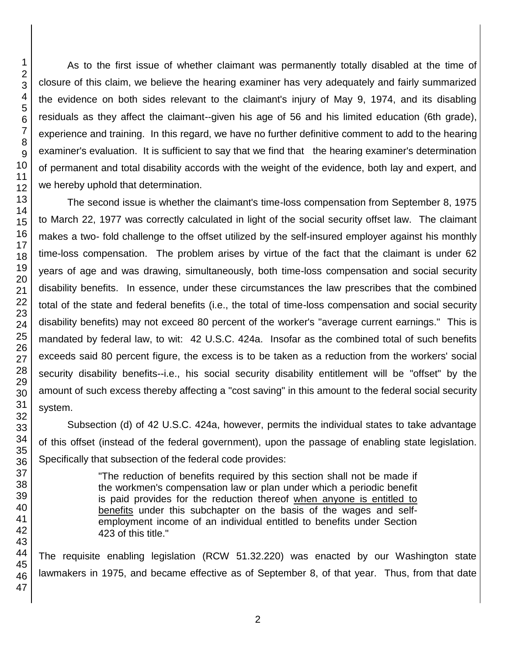As to the first issue of whether claimant was permanently totally disabled at the time of closure of this claim, we believe the hearing examiner has very adequately and fairly summarized the evidence on both sides relevant to the claimant's injury of May 9, 1974, and its disabling residuals as they affect the claimant--given his age of 56 and his limited education (6th grade), experience and training. In this regard, we have no further definitive comment to add to the hearing examiner's evaluation. It is sufficient to say that we find that the hearing examiner's determination of permanent and total disability accords with the weight of the evidence, both lay and expert, and we hereby uphold that determination.

The second issue is whether the claimant's time-loss compensation from September 8, 1975 to March 22, 1977 was correctly calculated in light of the social security offset law. The claimant makes a two- fold challenge to the offset utilized by the self-insured employer against his monthly time-loss compensation. The problem arises by virtue of the fact that the claimant is under 62 years of age and was drawing, simultaneously, both time-loss compensation and social security disability benefits. In essence, under these circumstances the law prescribes that the combined total of the state and federal benefits (i.e., the total of time-loss compensation and social security disability benefits) may not exceed 80 percent of the worker's "average current earnings." This is mandated by federal law, to wit: 42 U.S.C. 424a. Insofar as the combined total of such benefits exceeds said 80 percent figure, the excess is to be taken as a reduction from the workers' social security disability benefits--i.e., his social security disability entitlement will be "offset" by the amount of such excess thereby affecting a "cost saving" in this amount to the federal social security system.

Subsection (d) of 42 U.S.C. 424a, however, permits the individual states to take advantage of this offset (instead of the federal government), upon the passage of enabling state legislation. Specifically that subsection of the federal code provides:

> "The reduction of benefits required by this section shall not be made if the workmen's compensation law or plan under which a periodic benefit is paid provides for the reduction thereof when anyone is entitled to benefits under this subchapter on the basis of the wages and selfemployment income of an individual entitled to benefits under Section 423 of this title."

The requisite enabling legislation (RCW 51.32.220) was enacted by our Washington state lawmakers in 1975, and became effective as of September 8, of that year. Thus, from that date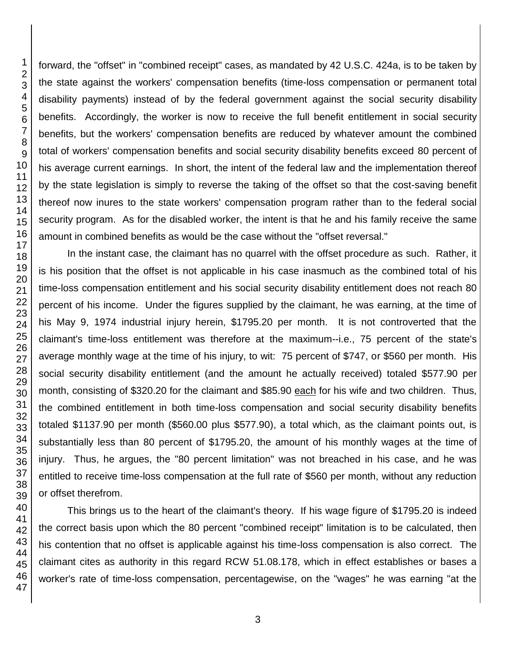forward, the "offset" in "combined receipt" cases, as mandated by 42 U.S.C. 424a, is to be taken by the state against the workers' compensation benefits (time-loss compensation or permanent total disability payments) instead of by the federal government against the social security disability benefits. Accordingly, the worker is now to receive the full benefit entitlement in social security benefits, but the workers' compensation benefits are reduced by whatever amount the combined total of workers' compensation benefits and social security disability benefits exceed 80 percent of his average current earnings. In short, the intent of the federal law and the implementation thereof by the state legislation is simply to reverse the taking of the offset so that the cost-saving benefit thereof now inures to the state workers' compensation program rather than to the federal social security program. As for the disabled worker, the intent is that he and his family receive the same amount in combined benefits as would be the case without the "offset reversal."

In the instant case, the claimant has no quarrel with the offset procedure as such. Rather, it is his position that the offset is not applicable in his case inasmuch as the combined total of his time-loss compensation entitlement and his social security disability entitlement does not reach 80 percent of his income. Under the figures supplied by the claimant, he was earning, at the time of his May 9, 1974 industrial injury herein, \$1795.20 per month. It is not controverted that the claimant's time-loss entitlement was therefore at the maximum--i.e., 75 percent of the state's average monthly wage at the time of his injury, to wit: 75 percent of \$747, or \$560 per month. His social security disability entitlement (and the amount he actually received) totaled \$577.90 per month, consisting of \$320.20 for the claimant and \$85.90 each for his wife and two children. Thus, the combined entitlement in both time-loss compensation and social security disability benefits totaled \$1137.90 per month (\$560.00 plus \$577.90), a total which, as the claimant points out, is substantially less than 80 percent of \$1795.20, the amount of his monthly wages at the time of injury. Thus, he argues, the "80 percent limitation" was not breached in his case, and he was entitled to receive time-loss compensation at the full rate of \$560 per month, without any reduction or offset therefrom.

This brings us to the heart of the claimant's theory. If his wage figure of \$1795.20 is indeed the correct basis upon which the 80 percent "combined receipt" limitation is to be calculated, then his contention that no offset is applicable against his time-loss compensation is also correct. The claimant cites as authority in this regard RCW 51.08.178, which in effect establishes or bases a worker's rate of time-loss compensation, percentagewise, on the "wages" he was earning "at the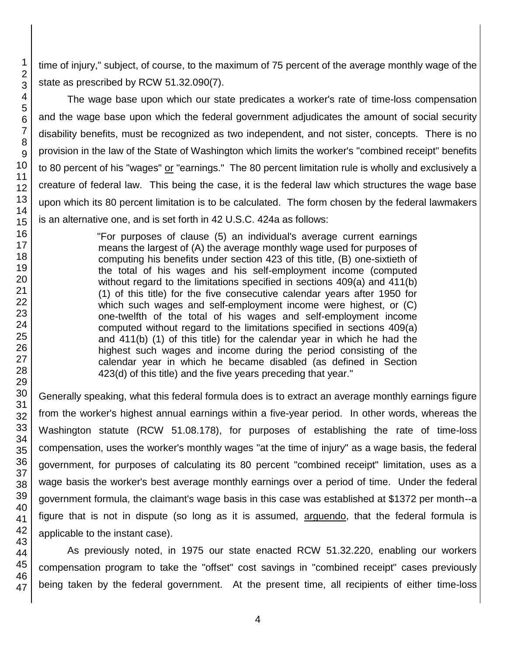time of injury," subject, of course, to the maximum of 75 percent of the average monthly wage of the state as prescribed by RCW 51.32.090(7).

The wage base upon which our state predicates a worker's rate of time-loss compensation and the wage base upon which the federal government adjudicates the amount of social security disability benefits, must be recognized as two independent, and not sister, concepts. There is no provision in the law of the State of Washington which limits the worker's "combined receipt" benefits to 80 percent of his "wages" or "earnings." The 80 percent limitation rule is wholly and exclusively a creature of federal law. This being the case, it is the federal law which structures the wage base upon which its 80 percent limitation is to be calculated. The form chosen by the federal lawmakers is an alternative one, and is set forth in 42 U.S.C. 424a as follows:

> "For purposes of clause (5) an individual's average current earnings means the largest of (A) the average monthly wage used for purposes of computing his benefits under section 423 of this title, (B) one-sixtieth of the total of his wages and his self-employment income (computed without regard to the limitations specified in sections 409(a) and 411(b) (1) of this title) for the five consecutive calendar years after 1950 for which such wages and self-employment income were highest, or (C) one-twelfth of the total of his wages and self-employment income computed without regard to the limitations specified in sections 409(a) and 411(b) (1) of this title) for the calendar year in which he had the highest such wages and income during the period consisting of the calendar year in which he became disabled (as defined in Section 423(d) of this title) and the five years preceding that year."

Generally speaking, what this federal formula does is to extract an average monthly earnings figure from the worker's highest annual earnings within a five-year period. In other words, whereas the Washington statute (RCW 51.08.178), for purposes of establishing the rate of time-loss compensation, uses the worker's monthly wages "at the time of injury" as a wage basis, the federal government, for purposes of calculating its 80 percent "combined receipt" limitation, uses as a wage basis the worker's best average monthly earnings over a period of time. Under the federal government formula, the claimant's wage basis in this case was established at \$1372 per month--a figure that is not in dispute (so long as it is assumed, arguendo, that the federal formula is applicable to the instant case).

As previously noted, in 1975 our state enacted RCW 51.32.220, enabling our workers compensation program to take the "offset" cost savings in "combined receipt" cases previously being taken by the federal government. At the present time, all recipients of either time-loss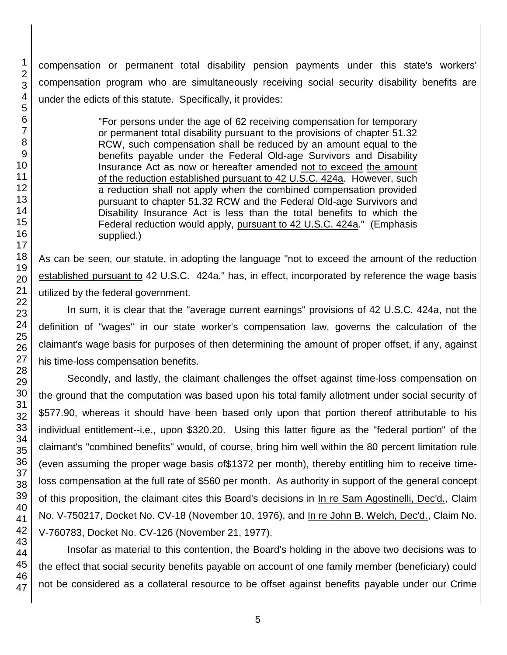compensation or permanent total disability pension payments under this state's workers' compensation program who are simultaneously receiving social security disability benefits are under the edicts of this statute. Specifically, it provides:

> "For persons under the age of 62 receiving compensation for temporary or permanent total disability pursuant to the provisions of chapter 51.32 RCW, such compensation shall be reduced by an amount equal to the benefits payable under the Federal Old-age Survivors and Disability Insurance Act as now or hereafter amended not to exceed the amount of the reduction established pursuant to 42 U.S.C. 424a. However, such a reduction shall not apply when the combined compensation provided pursuant to chapter 51.32 RCW and the Federal Old-age Survivors and Disability Insurance Act is less than the total benefits to which the Federal reduction would apply, pursuant to 42 U.S.C. 424a." (Emphasis supplied.)

As can be seen, our statute, in adopting the language "not to exceed the amount of the reduction established pursuant to 42 U.S.C. 424a," has, in effect, incorporated by reference the wage basis utilized by the federal government.

In sum, it is clear that the "average current earnings" provisions of 42 U.S.C. 424a, not the definition of "wages" in our state worker's compensation law, governs the calculation of the claimant's wage basis for purposes of then determining the amount of proper offset, if any, against his time-loss compensation benefits.

Secondly, and lastly, the claimant challenges the offset against time-loss compensation on the ground that the computation was based upon his total family allotment under social security of \$577.90, whereas it should have been based only upon that portion thereof attributable to his individual entitlement--i.e., upon \$320.20. Using this latter figure as the "federal portion" of the claimant's "combined benefits" would, of course, bring him well within the 80 percent limitation rule (even assuming the proper wage basis of\$1372 per month), thereby entitling him to receive timeloss compensation at the full rate of \$560 per month. As authority in support of the general concept of this proposition, the claimant cites this Board's decisions in In re Sam Agostinelli, Dec'd., Claim No. V-750217, Docket No. CV-18 (November 10, 1976), and In re John B. Welch, Dec'd., Claim No. V-760783, Docket No. CV-126 (November 21, 1977).

Insofar as material to this contention, the Board's holding in the above two decisions was to the effect that social security benefits payable on account of one family member (beneficiary) could not be considered as a collateral resource to be offset against benefits payable under our Crime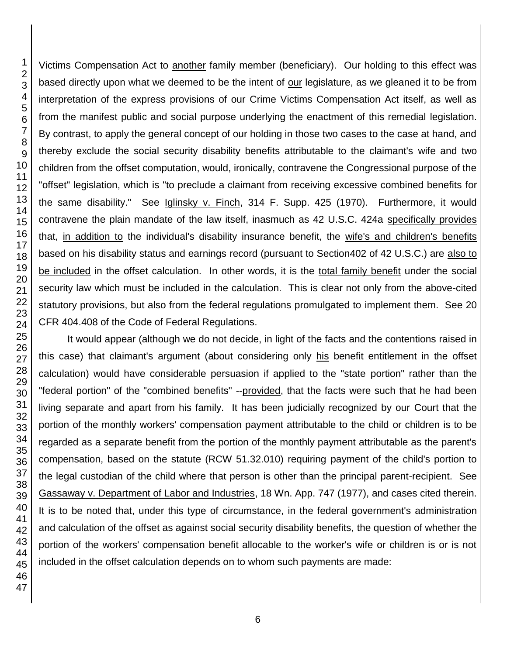Victims Compensation Act to another family member (beneficiary). Our holding to this effect was based directly upon what we deemed to be the intent of our legislature, as we gleaned it to be from interpretation of the express provisions of our Crime Victims Compensation Act itself, as well as from the manifest public and social purpose underlying the enactment of this remedial legislation. By contrast, to apply the general concept of our holding in those two cases to the case at hand, and thereby exclude the social security disability benefits attributable to the claimant's wife and two children from the offset computation, would, ironically, contravene the Congressional purpose of the "offset" legislation, which is "to preclude a claimant from receiving excessive combined benefits for the same disability." See Iglinsky v. Finch, 314 F. Supp. 425 (1970). Furthermore, it would contravene the plain mandate of the law itself, inasmuch as 42 U.S.C. 424a specifically provides that, in addition to the individual's disability insurance benefit, the wife's and children's benefits based on his disability status and earnings record (pursuant to Section402 of 42 U.S.C.) are also to be included in the offset calculation. In other words, it is the total family benefit under the social security law which must be included in the calculation. This is clear not only from the above-cited statutory provisions, but also from the federal regulations promulgated to implement them. See 20 CFR 404.408 of the Code of Federal Regulations.

It would appear (although we do not decide, in light of the facts and the contentions raised in this case) that claimant's argument (about considering only his benefit entitlement in the offset calculation) would have considerable persuasion if applied to the "state portion" rather than the "federal portion" of the "combined benefits" --provided, that the facts were such that he had been living separate and apart from his family. It has been judicially recognized by our Court that the portion of the monthly workers' compensation payment attributable to the child or children is to be regarded as a separate benefit from the portion of the monthly payment attributable as the parent's compensation, based on the statute (RCW 51.32.010) requiring payment of the child's portion to the legal custodian of the child where that person is other than the principal parent-recipient. See Gassaway v. Department of Labor and Industries, 18 Wn. App. 747 (1977), and cases cited therein. It is to be noted that, under this type of circumstance, in the federal government's administration and calculation of the offset as against social security disability benefits, the question of whether the portion of the workers' compensation benefit allocable to the worker's wife or children is or is not included in the offset calculation depends on to whom such payments are made: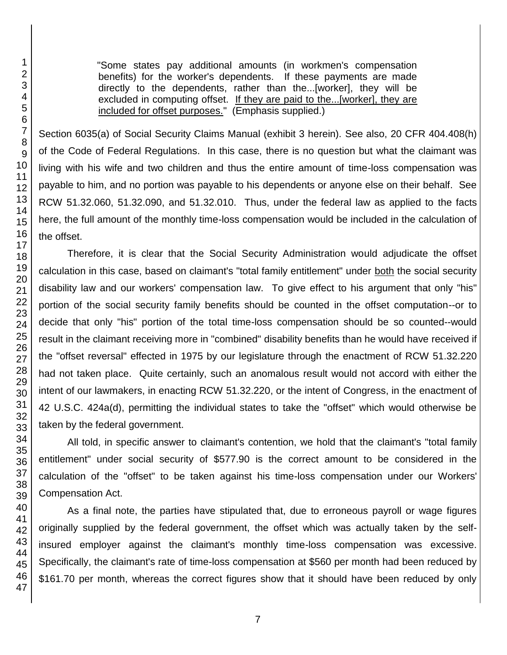"Some states pay additional amounts (in workmen's compensation benefits) for the worker's dependents. If these payments are made directly to the dependents, rather than the...[worker], they will be excluded in computing offset. If they are paid to the...[worker], they are included for offset purposes." (Emphasis supplied.)

Section 6035(a) of Social Security Claims Manual (exhibit 3 herein). See also, 20 CFR 404.408(h) of the Code of Federal Regulations. In this case, there is no question but what the claimant was living with his wife and two children and thus the entire amount of time-loss compensation was payable to him, and no portion was payable to his dependents or anyone else on their behalf. See RCW 51.32.060, 51.32.090, and 51.32.010. Thus, under the federal law as applied to the facts here, the full amount of the monthly time-loss compensation would be included in the calculation of the offset.

Therefore, it is clear that the Social Security Administration would adjudicate the offset calculation in this case, based on claimant's "total family entitlement" under both the social security disability law and our workers' compensation law. To give effect to his argument that only "his" portion of the social security family benefits should be counted in the offset computation--or to decide that only "his" portion of the total time-loss compensation should be so counted--would result in the claimant receiving more in "combined" disability benefits than he would have received if the "offset reversal" effected in 1975 by our legislature through the enactment of RCW 51.32.220 had not taken place. Quite certainly, such an anomalous result would not accord with either the intent of our lawmakers, in enacting RCW 51.32.220, or the intent of Congress, in the enactment of 42 U.S.C. 424a(d), permitting the individual states to take the "offset" which would otherwise be taken by the federal government.

All told, in specific answer to claimant's contention, we hold that the claimant's "total family entitlement" under social security of \$577.90 is the correct amount to be considered in the calculation of the "offset" to be taken against his time-loss compensation under our Workers' Compensation Act.

As a final note, the parties have stipulated that, due to erroneous payroll or wage figures originally supplied by the federal government, the offset which was actually taken by the selfinsured employer against the claimant's monthly time-loss compensation was excessive. Specifically, the claimant's rate of time-loss compensation at \$560 per month had been reduced by \$161.70 per month, whereas the correct figures show that it should have been reduced by only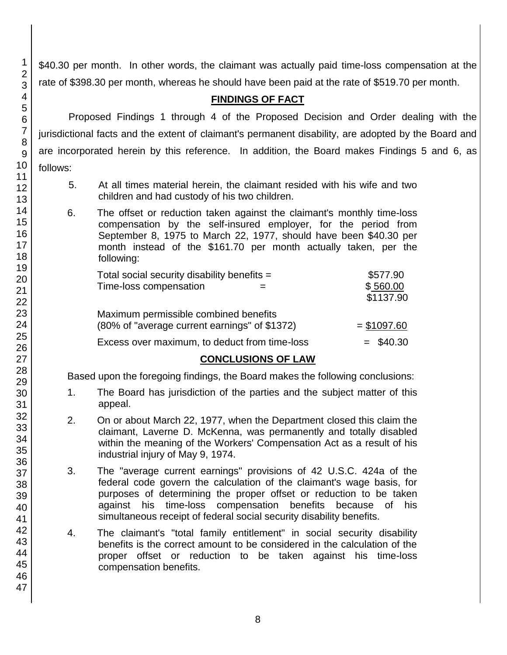\$40.30 per month. In other words, the claimant was actually paid time-loss compensation at the rate of \$398.30 per month, whereas he should have been paid at the rate of \$519.70 per month.

## **FINDINGS OF FACT**

Proposed Findings 1 through 4 of the Proposed Decision and Order dealing with the jurisdictional facts and the extent of claimant's permanent disability, are adopted by the Board and are incorporated herein by this reference. In addition, the Board makes Findings 5 and 6, as follows:

- 5. At all times material herein, the claimant resided with his wife and two children and had custody of his two children.
- 6. The offset or reduction taken against the claimant's monthly time-loss compensation by the self-insured employer, for the period from September 8, 1975 to March 22, 1977, should have been \$40.30 per month instead of the \$161.70 per month actually taken, per the following:

| Total social security disability benefits $=$ | \$577.90     |
|-----------------------------------------------|--------------|
| Time-loss compensation                        | \$560.00     |
|                                               | \$1137.90    |
| Maximum permissible combined benefits         |              |
| (80% of "average current earnings" of \$1372) | $= $1097.60$ |
| Excess over maximum, to deduct from time-loss | $=$ \$40.30  |

### **CONCLUSIONS OF LAW**

Based upon the foregoing findings, the Board makes the following conclusions:

- 1. The Board has jurisdiction of the parties and the subject matter of this appeal.
- 2. On or about March 22, 1977, when the Department closed this claim the claimant, Laverne D. McKenna, was permanently and totally disabled within the meaning of the Workers' Compensation Act as a result of his industrial injury of May 9, 1974.
- 3. The "average current earnings" provisions of 42 U.S.C. 424a of the federal code govern the calculation of the claimant's wage basis, for purposes of determining the proper offset or reduction to be taken against his time-loss compensation benefits because of his simultaneous receipt of federal social security disability benefits.
- 4. The claimant's "total family entitlement" in social security disability benefits is the correct amount to be considered in the calculation of the proper offset or reduction to be taken against his time-loss compensation benefits.